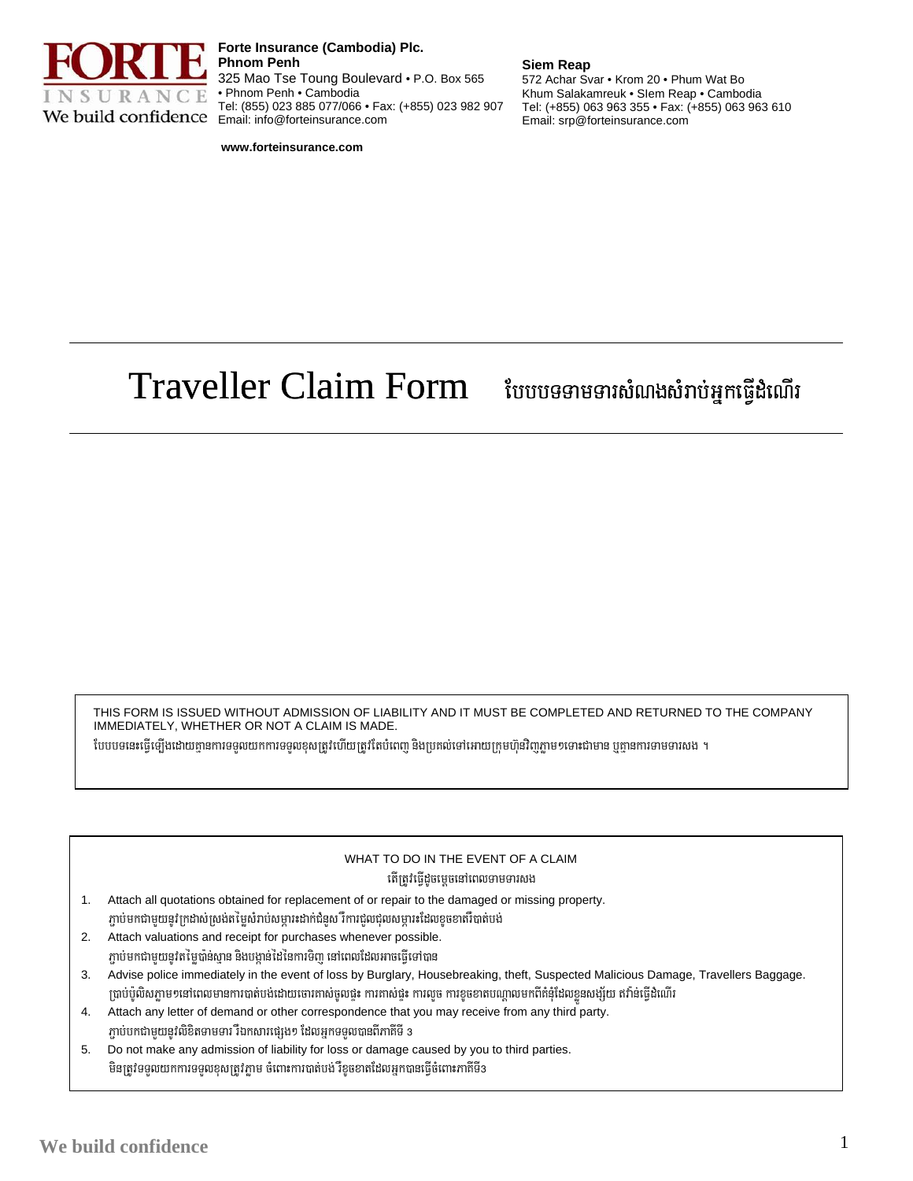

Forte Insurance (Cambodia) Plc. **Phnom Penh** 325 Mao Tse Toung Boulevard . P.O. Box 565 • Phnom Penh • Cambodia Tel: (855) 023 885 077/066 · Fax: (+855) 023 982 907 We build confidence Email: info@forteinsurance.com

## **Siem Reap**

572 Achar Svar . Krom 20 . Phum Wat Bo Khum Salakamreuk · Slem Reap · Cambodia Tel: (+855) 063 963 355 · Fax: (+855) 063 963 610 Email: srp@forteinsurance.com

www.forteinsurance.com

## **Traveller Claim Form** បែបបទទាមទារសំណងសំរាប់អ្នកធ្វើដំណើរ

THIS FORM IS ISSUED WITHOUT ADMISSION OF LIABILITY AND IT MUST BE COMPLETED AND RETURNED TO THE COMPANY IMMEDIATELY, WHETHER OR NOT A CLAIM IS MADE.

បែបបទនេះធ្វើឡើងដោយគ្មានការទទួលយកការទទួលខុសត្រូវហើយត្រូវតែបំពេញ និងប្រគល់ទៅអោយក្រុមហ៊ុនវិញភ្លាមៗទោះជាមាន ឬគ្នានការទាមទារសង ។

## WHAT TO DO IN THE EVENT OF A CLAIM តើត្រូវធ្វើដូចម្ដេចនៅពេលទាមទារសង

- Attach all quotations obtained for replacement of or repair to the damaged or missing property.  $1$ .ភ្ជាប់មកជាមួយនូវក្រដាស់ស្រង់តម្លៃសំរាប់សម្ភារះដាក់ជំនួស រឺការជួលជុលសម្ភារះដែលខូចខាតរឺបាត់បង់
- Attach valuations and receipt for purchases whenever possible.  $2.$ ភ្ជាប់មកជាមួយនូវតម្លៃបានស្ពាន និងបង្កាន់ដៃនៃការទិញ នៅពេលដែលអាចធ្វើទៅបាន
- Advise police immediately in the event of loss by Burglary, Housebreaking, theft, Suspected Malicious Damage, Travellers Baggage. 3. ប្រាប់ប៉ូលិសភ្លាមៗនៅពេលមានការបាត់បង់ដោយចោរតាស់ចូលផ្ទះ ការគាស់ផ្ទះ ការលួច ការខូចខាតបណ្តាលមកពីគំនុំដែលខ្លួនសង្ស័យ ឥវ៉ាន់ធ្វើដំណើរ
- Attach any letter of demand or other correspondence that you may receive from any third party. 4. ភ្ជាប់បកជាមួយនូវលិខិតទាមទារ រឺឯកសារផ្សេង១ ដែលអ្នកទទួលបានពីភាគីទី 3
- Do not make any admission of liability for loss or damage caused by you to third parties. 5. មិនត្រូវទទួលយកការទទួលខុសត្រូវភ្លាម ចំពោះការបាត់បង់ រឺខូចខាតដែលអ្នកបានធ្វើចំពោះភាគីទី3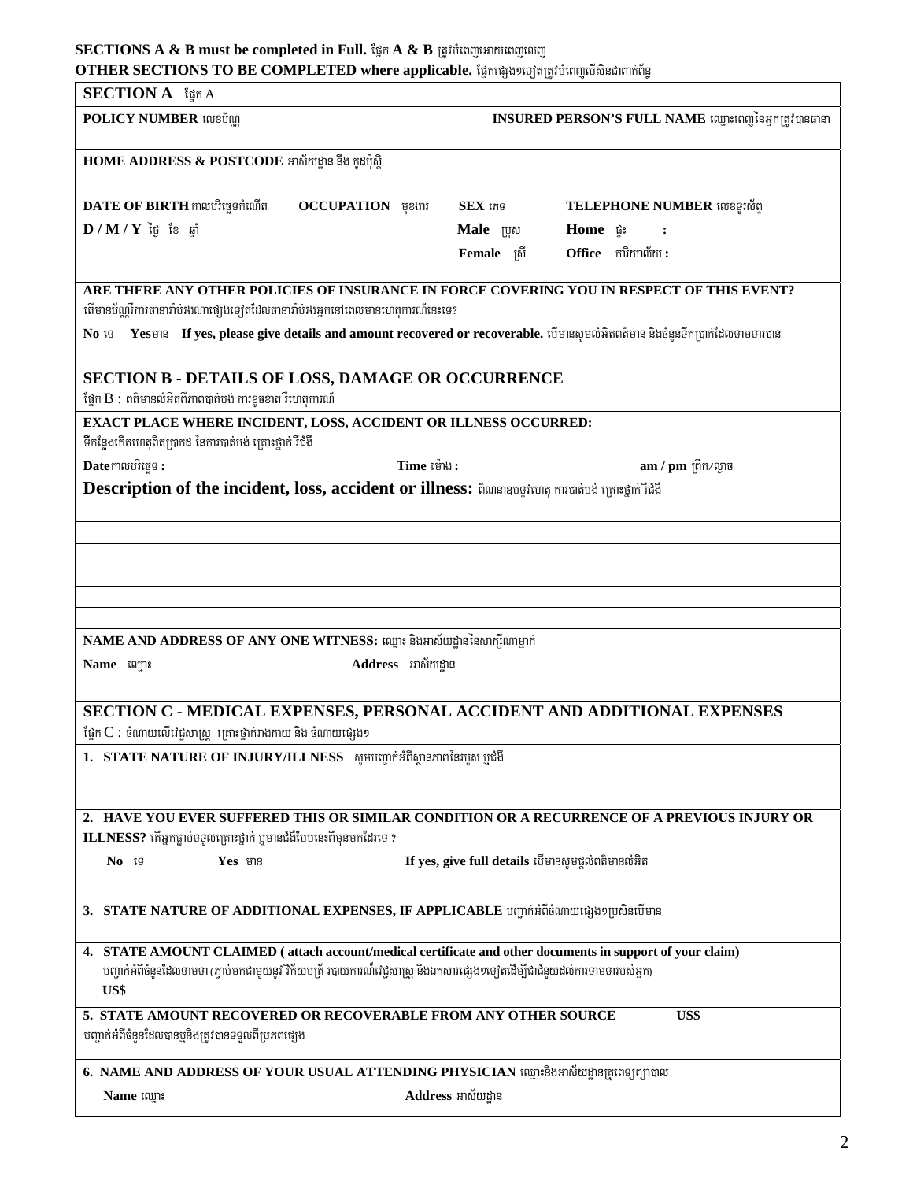## OTHER SECTIONS TO BE COMPLETED where applicable. ផ្នែកផ្សេង១ទៀតត្រូវបំពេញបើសិនជាពាក់ព័ន្ធ

| <b>SECTION A</b> ign A                                                                                                                                                                                                                                |                                                                                                                           |  |  |  |
|-------------------------------------------------------------------------------------------------------------------------------------------------------------------------------------------------------------------------------------------------------|---------------------------------------------------------------------------------------------------------------------------|--|--|--|
| <b>POLICY NUMBER</b> លេខប័ណ្ណ                                                                                                                                                                                                                         | INSURED PERSON'S FULL NAME ឈ្មោះពេញនៃអ្នកត្រូវបានធានា                                                                     |  |  |  |
| HOME ADDRESS & POSTCODE អាស័យដ្ឋាន នឹង កូដប៉ុស្តិ                                                                                                                                                                                                     |                                                                                                                           |  |  |  |
| $\mathbf{DATE}$ $\mathbf{OF}$ $\mathbf{BIRTH}$ កាលបរិច្ឆេទកំណើត<br><b>OCCUPATION</b> usual                                                                                                                                                            | $SEX$ ing<br>TELEPHONE NUMBER លេខទូរស័ព្                                                                                  |  |  |  |
| $\bf{D}$ / $\bf{M}$ / $\bf{Y}$ ថ្ងៃ ខែ ឆ្នាំ                                                                                                                                                                                                          | Male ប្រុស<br>Home p                                                                                                      |  |  |  |
|                                                                                                                                                                                                                                                       | Office mitmotu:<br>Female ស្រី                                                                                            |  |  |  |
| ARE THERE ANY OTHER POLICIES OF INSURANCE IN FORCE COVERING YOU IN RESPECT OF THIS EVENT?                                                                                                                                                             |                                                                                                                           |  |  |  |
| តើមានប័ណ្ណរឺការធានារ៉ាប់រងណាផ្សេងទ្បេីតដែលធានារ៉ាប់រងអ្នកនៅពេលមានហេតុការណ៍នេះទេ?<br>$\overline{\text{No}}$ is                                                                                                                                         |                                                                                                                           |  |  |  |
|                                                                                                                                                                                                                                                       | Yesមាន If yes, please give details and amount recovered or recoverable. បើមានសូមលំអិតពត៌មាន និងចំនួនទីកប្រាក់ដែលទាមទារបាន |  |  |  |
| SECTION B - DETAILS OF LOSS, DAMAGE OR OCCURRENCE<br>ផ្នែក B : ពតិមានលំអិតពីភាពបាត់បង់ ការខូចខាត រឺហេតុការណ៍                                                                                                                                          |                                                                                                                           |  |  |  |
| EXACT PLACE WHERE INCIDENT, LOSS, ACCIDENT OR ILLNESS OCCURRED:                                                                                                                                                                                       |                                                                                                                           |  |  |  |
| ទីកន្លែងកើតហេតុពិតប្រាកដ នៃការបាត់បង់ គ្រោះថ្នាក់ រឺជំងឺ                                                                                                                                                                                              |                                                                                                                           |  |  |  |
| Datemលបរិច្ឆេទ:<br>Time ម៉ោង:                                                                                                                                                                                                                         | $am / pm$ ព្រីក $/m$ ្រច                                                                                                  |  |  |  |
| Description of the incident, loss, accident or illness: ถิดเกลยอยู่หบทุ ทานาต่อย่ หุตาะอุทท์ ก็ผู้ถึ                                                                                                                                                  |                                                                                                                           |  |  |  |
|                                                                                                                                                                                                                                                       |                                                                                                                           |  |  |  |
|                                                                                                                                                                                                                                                       |                                                                                                                           |  |  |  |
|                                                                                                                                                                                                                                                       |                                                                                                                           |  |  |  |
|                                                                                                                                                                                                                                                       |                                                                                                                           |  |  |  |
|                                                                                                                                                                                                                                                       |                                                                                                                           |  |  |  |
| NAME AND ADDRESS OF ANY ONE WITNESS: ឈ្មោះ និងអាស័យដ្ឋាននៃសាក្សីណាម្នាក់                                                                                                                                                                              |                                                                                                                           |  |  |  |
| Address អាស័យដ្ឋាន<br>Name mm:                                                                                                                                                                                                                        |                                                                                                                           |  |  |  |
| SECTION C - MEDICAL EXPENSES, PERSONAL ACCIDENT AND ADDITIONAL EXPENSES                                                                                                                                                                               |                                                                                                                           |  |  |  |
| ផ្នែក $\mathbf C$ : ចំណាយលើវេជ្ជសាស្ត្រ គ្រោះថ្នាក់រាងកាយ និង ចំណាយផ្សេង១                                                                                                                                                                             |                                                                                                                           |  |  |  |
| 1. STATE NATURE OF INJURY/ILLNESS សូមបញ្ជាក់អំពីស្ថានភាពនៃរបួស ប្ញូជំងឺ                                                                                                                                                                               |                                                                                                                           |  |  |  |
|                                                                                                                                                                                                                                                       |                                                                                                                           |  |  |  |
|                                                                                                                                                                                                                                                       |                                                                                                                           |  |  |  |
| ILLNESS? តើអ្នកធ្លាប់ទទួលគ្រោះថ្នាក់ ឬមានជំងឺបែបនេះពីមុនមកដែរទេ ?                                                                                                                                                                                     | 2. HAVE YOU EVER SUFFERED THIS OR SIMILAR CONDITION OR A RECURRENCE OF A PREVIOUS INJURY OR                               |  |  |  |
| Yes មាន<br>No 19                                                                                                                                                                                                                                      | If yes, give full details បើមានសូមផ្តល់ពតិមានលំអិត                                                                        |  |  |  |
|                                                                                                                                                                                                                                                       |                                                                                                                           |  |  |  |
| 3. STATE NATURE OF ADDITIONAL EXPENSES, IF APPLICABLE បញ្ជាក់អំពីចំណាយផ្សេងៗប្រសិនបើមាន                                                                                                                                                               |                                                                                                                           |  |  |  |
| 4. STATE AMOUNT CLAIMED (attach account/medical certificate and other documents in support of your claim)<br>បញ្ចាក់អំពីចំនួនដែលទាមទា (ភ្ជាប់មកជាមួយនូវ វិក័យបត្រ័ របាយការណ៏វេជ្ជសាស្ត្រ និងឯកសារផ្សេង១ទ្យេតដើម្បីជាជំនួយដល់ការទាមទារបស់អ្នក)<br>US\$ |                                                                                                                           |  |  |  |
| 5. STATE AMOUNT RECOVERED OR RECOVERABLE FROM ANY OTHER SOURCE<br>បញ្ជាក់អំពីចំនួនដែលបានឬនិងត្រូវបានទទួលពីប្រភពផ្សេង                                                                                                                                  | US\$                                                                                                                      |  |  |  |
| 6. NAME AND ADDRESS OF YOUR USUAL ATTENDING PHYSICIAN ឈ្មោះនិងអាស័យដ្ឋានគ្រូពេទ្យព្យាបាល                                                                                                                                                              |                                                                                                                           |  |  |  |
| Name ឈ្មោះ                                                                                                                                                                                                                                            | Address អាស័យដ្ឋាន                                                                                                        |  |  |  |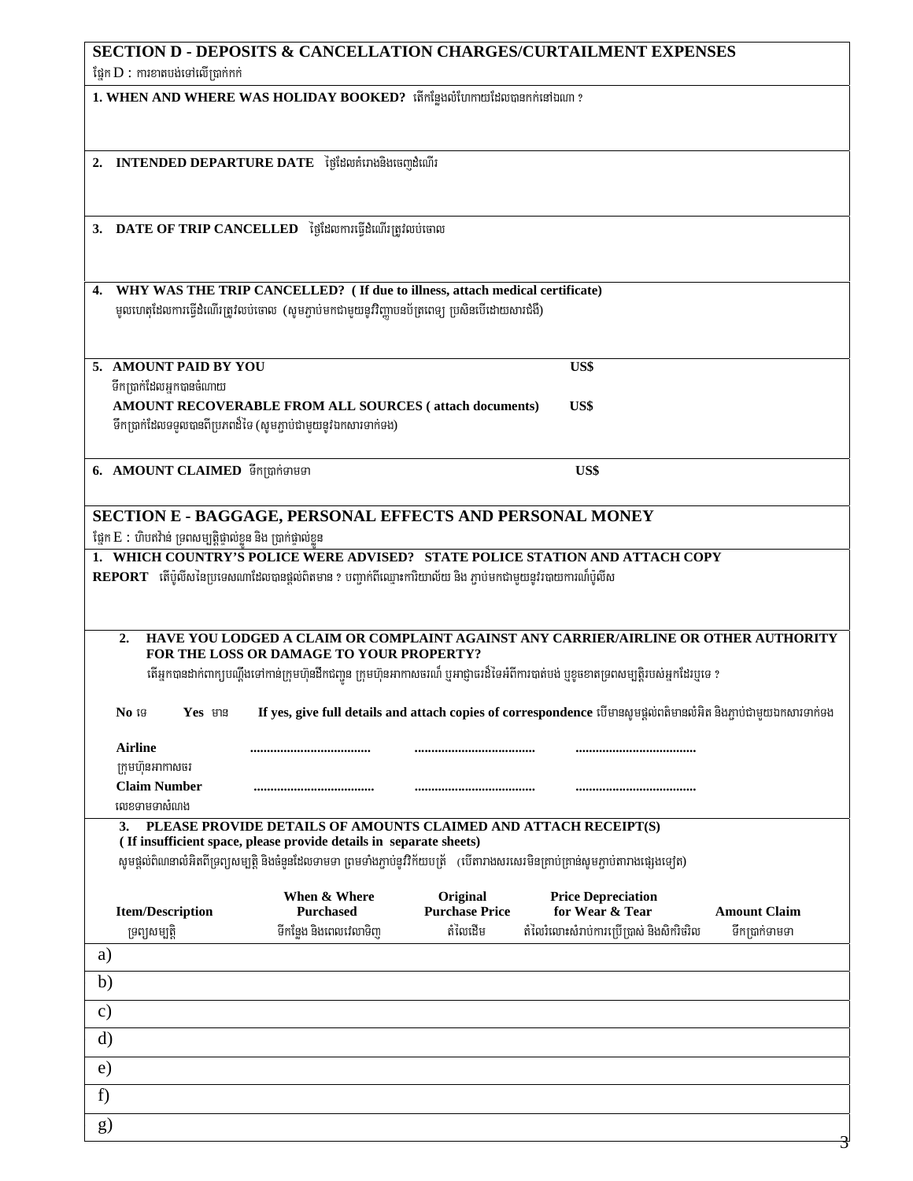| <b>SECTION D - DEPOSITS &amp; CANCELLATION CHARGES/CURTAILMENT EXPENSES</b><br>ថ្នៃក $D$ : ការខាតបង់ទៅលើប្រាក់កក់ |                                                                                                                                                                              |                                   |                                                                                                                                        |                     |  |  |
|-------------------------------------------------------------------------------------------------------------------|------------------------------------------------------------------------------------------------------------------------------------------------------------------------------|-----------------------------------|----------------------------------------------------------------------------------------------------------------------------------------|---------------------|--|--|
| 1. WHEN AND WHERE WAS HOLIDAY BOOKED? เก็ทเ์ฐช.ณ์บทพช. ชิมตาการเสนอเท ?                                           |                                                                                                                                                                              |                                   |                                                                                                                                        |                     |  |  |
| 2.                                                                                                                | INTENDED DEPARTURE DATE ថ្ងៃដែលគំរោងនិងចេញដំណើរ                                                                                                                              |                                   |                                                                                                                                        |                     |  |  |
| 3. DATE OF TRIP CANCELLED ថ្ងៃដែលការធ្វើដំណើរត្រូវលប់ចោល                                                          |                                                                                                                                                                              |                                   |                                                                                                                                        |                     |  |  |
| 4.                                                                                                                | WHY WAS THE TRIP CANCELLED? ( If due to illness, attach medical certificate)<br>មូលហេតុដែលការធ្វើដំណើរត្រូវលប់ចោល (សូមភ្ជាប់មកជាមួយនូវវិញ្ញាបនប័ត្រពេទ្យ ប្រសិនបើដោយសារជំងឺ) |                                   |                                                                                                                                        |                     |  |  |
| 5. AMOUNT PAID BY YOU<br>ទឹកប្រាក់ដែលអ្នកបានចំណាយ                                                                 |                                                                                                                                                                              |                                   | US\$                                                                                                                                   |                     |  |  |
|                                                                                                                   | AMOUNT RECOVERABLE FROM ALL SOURCES (attach documents)                                                                                                                       |                                   | US\$                                                                                                                                   |                     |  |  |
|                                                                                                                   | ទឹកប្រាក់ដែលទទួលបានពីប្រភពដ៏ទៃ (សូមភ្ជាប់ជាមួយនូវឯកសារទាក់ទង)                                                                                                                |                                   |                                                                                                                                        |                     |  |  |
| 6. AMOUNT CLAIMED ទឹកប្រាក់ទាមទា                                                                                  |                                                                                                                                                                              |                                   | US\$                                                                                                                                   |                     |  |  |
| <b>SECTION E - BAGGAGE, PERSONAL EFFECTS AND PERSONAL MONEY</b>                                                   |                                                                                                                                                                              |                                   |                                                                                                                                        |                     |  |  |
| ផ្នែក E : ហិបឥវ៉ាន់ ទ្រពសម្បត្តិផ្ទាល់ខ្លួន និង ប្រាក់ផ្ទាល់ខ្លួន                                                 |                                                                                                                                                                              |                                   |                                                                                                                                        |                     |  |  |
|                                                                                                                   |                                                                                                                                                                              |                                   | 1. WHICH COUNTRY'S POLICE WERE ADVISED? STATE POLICE STATION AND ATTACH COPY                                                           |                     |  |  |
| $\bf{REPORT}$ តើប៉ូលីសនៃប្រទេសណាដែលបានផ្តល់ពិតមាន ? បញ្ចាក់ពីឈ្មោះការិយាល័យ និង ភ្ជាប់មកជាមួយនូវរបាយការណ៍ប៉ូលីស   |                                                                                                                                                                              |                                   |                                                                                                                                        |                     |  |  |
|                                                                                                                   |                                                                                                                                                                              |                                   |                                                                                                                                        |                     |  |  |
| 2.                                                                                                                | FOR THE LOSS OR DAMAGE TO YOUR PROPERTY?                                                                                                                                     |                                   | HAVE YOU LODGED A CLAIM OR COMPLAINT AGAINST ANY CARRIER/AIRLINE OR OTHER AUTHORITY                                                    |                     |  |  |
|                                                                                                                   |                                                                                                                                                                              |                                   | តើអ្នកបានដាក់ពាក្យបណ្តឹងទៅកាន់ក្រុមហ៊ុនដឹកជញ្ជូន ក្រុមហ៊ុនអាកាសចរណ៍ ឬអាជ្ញាធរដ៏ទៃអំពីការបាត់បង់ ឬខូចខាតទ្រពសម្បត្តិរបស់អ្នកដែរឬទេ ?    |                     |  |  |
| Yes មាន<br>No is                                                                                                  |                                                                                                                                                                              |                                   | If yes, give full details and attach copies of correspondence បើមានសូមផ្តល់ពត៌មានលំអិត និងភ្ជាប់ជាមួយឯកសារទាក់ទង                       |                     |  |  |
| <b>Airline</b>                                                                                                    |                                                                                                                                                                              |                                   |                                                                                                                                        |                     |  |  |
| ក្រុមហ៊ុនអាកាសចរ                                                                                                  |                                                                                                                                                                              |                                   |                                                                                                                                        |                     |  |  |
| <b>Claim Number</b><br>លេខទាមទាសំណង                                                                               |                                                                                                                                                                              |                                   |                                                                                                                                        |                     |  |  |
| 3.                                                                                                                | PLEASE PROVIDE DETAILS OF AMOUNTS CLAIMED AND ATTACH RECEIPT(S)                                                                                                              |                                   |                                                                                                                                        |                     |  |  |
|                                                                                                                   | (If insufficient space, please provide details in separate sheets)                                                                                                           |                                   |                                                                                                                                        |                     |  |  |
|                                                                                                                   |                                                                                                                                                                              |                                   | សូមផ្តល់ពិណនាលំអិតពីទ្រព្យសម្បត្តិ និងចំនួនដែលទាមទា ព្រមទាំងភ្ជាប់នូវវិក័យបត្រ័    (បើតារាងសរសេរមិនគ្រាប់គ្រាន់សូមភ្ជាប់តារាងផ្សេងទៀត) |                     |  |  |
| <b>Item/Description</b>                                                                                           | When & Where<br><b>Purchased</b>                                                                                                                                             | Original<br><b>Purchase Price</b> | <b>Price Depreciation</b><br>for Wear & Tear                                                                                           | <b>Amount Claim</b> |  |  |
| ទ្រព្យសម្បត្តិ                                                                                                    | ទីកន្លែង និងពេលវេលាទិញ                                                                                                                                                       | តំលៃដើម                           | តំលៃរំលោះសំរាប់ការប្រើប្រាស់ និងសិករិចរិល                                                                                              | ទឹកប្រាក់ទាមទា      |  |  |
| a)                                                                                                                |                                                                                                                                                                              |                                   |                                                                                                                                        |                     |  |  |
| b)                                                                                                                |                                                                                                                                                                              |                                   |                                                                                                                                        |                     |  |  |
| $\mathbf{c})$                                                                                                     |                                                                                                                                                                              |                                   |                                                                                                                                        |                     |  |  |
| d)                                                                                                                |                                                                                                                                                                              |                                   |                                                                                                                                        |                     |  |  |
| e)                                                                                                                |                                                                                                                                                                              |                                   |                                                                                                                                        |                     |  |  |
| f)                                                                                                                |                                                                                                                                                                              |                                   |                                                                                                                                        |                     |  |  |
|                                                                                                                   |                                                                                                                                                                              |                                   |                                                                                                                                        |                     |  |  |